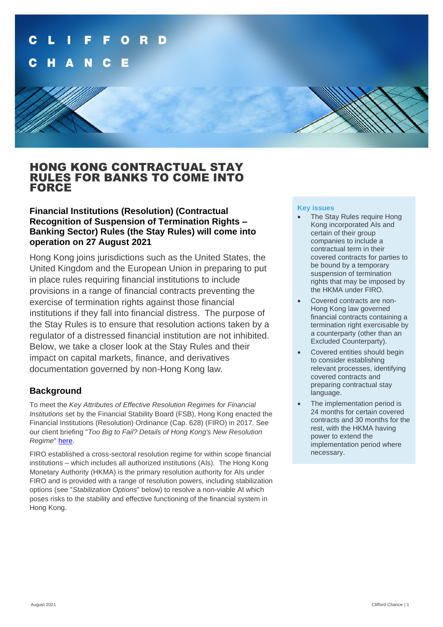

# HONG KONG CONTRACTUAL STAY RULES FOR BANKS TO COME INTO FORCE

## **Financial Institutions (Resolution) (Contractual Recognition of Suspension of Termination Rights – Banking Sector) Rules (the Stay Rules) will come into operation on 27 August 2021**

Hong Kong joins jurisdictions such as the United States, the United Kingdom and the European Union in preparing to put in place rules requiring financial institutions to include provisions in a range of financial contracts preventing the exercise of termination rights against those financial institutions if they fall into financial distress. The purpose of the Stay Rules is to ensure that resolution actions taken by a regulator of a distressed financial institution are not inhibited. Below, we take a closer look at the Stay Rules and their impact on capital markets, finance, and derivatives documentation governed by non-Hong Kong law*.*

## **Background**

To meet the *Key Attributes of Effective Resolution Regimes for Financial Institutions* set by the Financial Stability Board (FSB), Hong Kong enacted the Financial Institutions (Resolution) Ordinance (Cap. 628) (FIRO) in 2017. See our client briefing "*Too Big to Fail? Details of Hong Kong's New Resolution Regime*" [here.](https://www.cliffordchance.com/content/dam/cliffordchance/briefings/2017/07/too-big-to-fail-details-of-hong-kongs-new-resolution-regime.pdf)

FIRO established a cross-sectoral resolution regime for within scope financial institutions – which includes all authorized institutions (AIs). The Hong Kong Monetary Authority (HKMA) is the primary resolution authority for AIs under FIRO and is provided with a range of resolution powers, including stabilization options (see "*Stabilization Options*" below) to resolve a non-viable AI which poses risks to the stability and effective functioning of the financial system in Hong Kong.

#### **Key issues**

- The Stay Rules require Hong Kong incorporated AIs and certain of their group companies to include a contractual term in their covered contracts for parties to be bound by a temporary suspension of termination rights that may be imposed by the HKMA under FIRO.
- Covered contracts are non-Hong Kong law governed financial contracts containing a termination right exercisable by a counterparty (other than an Excluded Counterparty).
- Covered entities should begin to consider establishing relevant processes, identifying covered contracts and preparing contractual stay language.
- The implementation period is 24 months for certain covered contracts and 30 months for the rest, with the HKMA having power to extend the implementation period where necessary.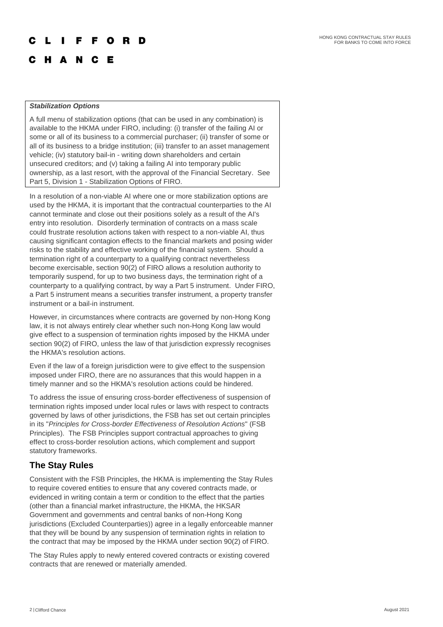#### $\Omega$ R E

## C H A N C E

#### *Stabilization Options*

A full menu of stabilization options (that can be used in any combination) is available to the HKMA under FIRO, including: (i) transfer of the failing AI or some or all of its business to a commercial purchaser; (ii) transfer of some or all of its business to a bridge institution; (iii) transfer to an asset management vehicle; (iv) statutory bail-in - writing down shareholders and certain unsecured creditors; and (v) taking a failing AI into temporary public ownership, as a last resort, with the approval of the Financial Secretary. See Part 5, Division 1 - Stabilization Options of FIRO.

In a resolution of a non-viable AI where one or more stabilization options are used by the HKMA, it is important that the contractual counterparties to the AI cannot terminate and close out their positions solely as a result of the AI's entry into resolution. Disorderly termination of contracts on a mass scale could frustrate resolution actions taken with respect to a non-viable AI, thus causing significant contagion effects to the financial markets and posing wider risks to the stability and effective working of the financial system. Should a termination right of a counterparty to a qualifying contract nevertheless become exercisable, section 90(2) of FIRO allows a resolution authority to temporarily suspend, for up to two business days, the termination right of a counterparty to a qualifying contract, by way a Part 5 instrument. Under FIRO, a Part 5 instrument means a securities transfer instrument, a property transfer instrument or a bail-in instrument.

However, in circumstances where contracts are governed by non-Hong Kong law, it is not always entirely clear whether such non-Hong Kong law would give effect to a suspension of termination rights imposed by the HKMA under section 90(2) of FIRO, unless the law of that jurisdiction expressly recognises the HKMA's resolution actions.

Even if the law of a foreign jurisdiction were to give effect to the suspension imposed under FIRO, there are no assurances that this would happen in a timely manner and so the HKMA's resolution actions could be hindered.

To address the issue of ensuring cross-border effectiveness of suspension of termination rights imposed under local rules or laws with respect to contracts governed by laws of other jurisdictions, the FSB has set out certain principles in its "*Principles for Cross-border Effectiveness of Resolution Actions*" (FSB Principles). The FSB Principles support contractual approaches to giving effect to cross-border resolution actions, which complement and support statutory frameworks.

## **The Stay Rules**

Consistent with the FSB Principles, the HKMA is implementing the Stay Rules to require covered entities to ensure that any covered contracts made, or evidenced in writing contain a term or condition to the effect that the parties (other than a financial market infrastructure, the HKMA, the HKSAR Government and governments and central banks of non-Hong Kong jurisdictions (Excluded Counterparties)) agree in a legally enforceable manner that they will be bound by any suspension of termination rights in relation to the contract that may be imposed by the HKMA under section 90(2) of FIRO.

The Stay Rules apply to newly entered covered contracts or existing covered contracts that are renewed or materially amended.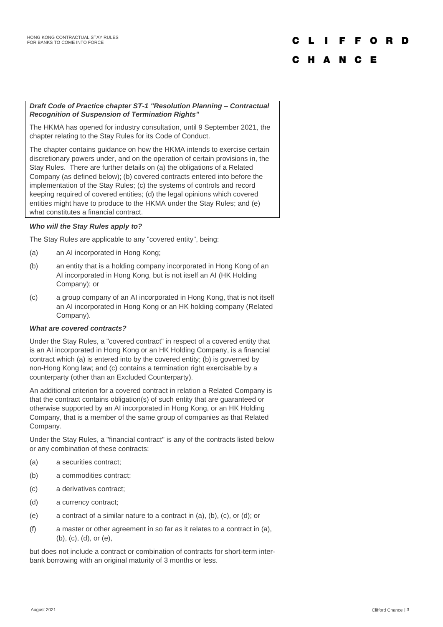# F F O R D

## C H A N C E

### *Draft Code of Practice chapter ST-1 "Resolution Planning – Contractual Recognition of Suspension of Termination Rights"*

The HKMA has opened for industry consultation, until 9 September 2021, the chapter relating to the Stay Rules for its Code of Conduct.

The chapter contains guidance on how the HKMA intends to exercise certain discretionary powers under, and on the operation of certain provisions in, the Stay Rules. There are further details on (a) the obligations of a Related Company (as defined below); (b) covered contracts entered into before the implementation of the Stay Rules; (c) the systems of controls and record keeping required of covered entities; (d) the legal opinions which covered entities might have to produce to the HKMA under the Stay Rules; and (e) what constitutes a financial contract.

## *Who will the Stay Rules apply to?*

The Stay Rules are applicable to any "covered entity", being:

- (a) an AI incorporated in Hong Kong;
- (b) an entity that is a holding company incorporated in Hong Kong of an AI incorporated in Hong Kong, but is not itself an AI (HK Holding Company); or
- (c) a group company of an AI incorporated in Hong Kong, that is not itself an AI incorporated in Hong Kong or an HK holding company (Related Company).

#### *What are covered contracts?*

Under the Stay Rules, a "covered contract" in respect of a covered entity that is an AI incorporated in Hong Kong or an HK Holding Company, is a financial contract which (a) is entered into by the covered entity; (b) is governed by non-Hong Kong law; and (c) contains a termination right exercisable by a counterparty (other than an Excluded Counterparty).

An additional criterion for a covered contract in relation a Related Company is that the contract contains obligation(s) of such entity that are guaranteed or otherwise supported by an AI incorporated in Hong Kong, or an HK Holding Company, that is a member of the same group of companies as that Related Company.

Under the Stay Rules, a "financial contract" is any of the contracts listed below or any combination of these contracts:

- (a) a securities contract;
- (b) a commodities contract;
- (c) a derivatives contract;
- (d) a currency contract;
- (e) a contract of a similar nature to a contract in (a), (b), (c), or (d); or
- (f) a master or other agreement in so far as it relates to a contract in (a), (b), (c), (d), or (e),

but does not include a contract or combination of contracts for short-term interbank borrowing with an original maturity of 3 months or less.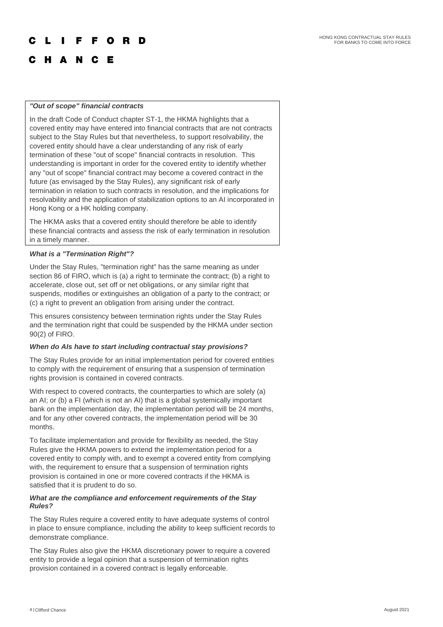#### F F O R

## C H A N C E

#### *"Out of scope" financial contracts*

In the draft Code of Conduct chapter ST-1, the HKMA highlights that a covered entity may have entered into financial contracts that are not contracts subject to the Stay Rules but that nevertheless, to support resolvability, the covered entity should have a clear understanding of any risk of early termination of these "out of scope" financial contracts in resolution. This understanding is important in order for the covered entity to identify whether any "out of scope" financial contract may become a covered contract in the future (as envisaged by the Stay Rules), any significant risk of early termination in relation to such contracts in resolution, and the implications for resolvability and the application of stabilization options to an AI incorporated in Hong Kong or a HK holding company.

The HKMA asks that a covered entity should therefore be able to identify these financial contracts and assess the risk of early termination in resolution in a timely manner.

#### *What is a "Termination Right"?*

Under the Stay Rules, "termination right" has the same meaning as under section 86 of FIRO, which is (a) a right to terminate the contract; (b) a right to accelerate, close out, set off or net obligations, or any similar right that suspends, modifies or extinguishes an obligation of a party to the contract; or (c) a right to prevent an obligation from arising under the contract.

This ensures consistency between termination rights under the Stay Rules and the termination right that could be suspended by the HKMA under section 90(2) of FIRO.

#### *When do AIs have to start including contractual stay provisions?*

The Stay Rules provide for an initial implementation period for covered entities to comply with the requirement of ensuring that a suspension of termination rights provision is contained in covered contracts.

With respect to covered contracts, the counterparties to which are solely (a) an AI; or (b) a FI (which is not an AI) that is a global systemically important bank on the implementation day, the implementation period will be 24 months, and for any other covered contracts, the implementation period will be 30 months.

To facilitate implementation and provide for flexibility as needed, the Stay Rules give the HKMA powers to extend the implementation period for a covered entity to comply with, and to exempt a covered entity from complying with, the requirement to ensure that a suspension of termination rights provision is contained in one or more covered contracts if the HKMA is satisfied that it is prudent to do so.

#### *What are the compliance and enforcement requirements of the Stay Rules?*

The Stay Rules require a covered entity to have adequate systems of control in place to ensure compliance, including the ability to keep sufficient records to demonstrate compliance.

The Stay Rules also give the HKMA discretionary power to require a covered entity to provide a legal opinion that a suspension of termination rights provision contained in a covered contract is legally enforceable.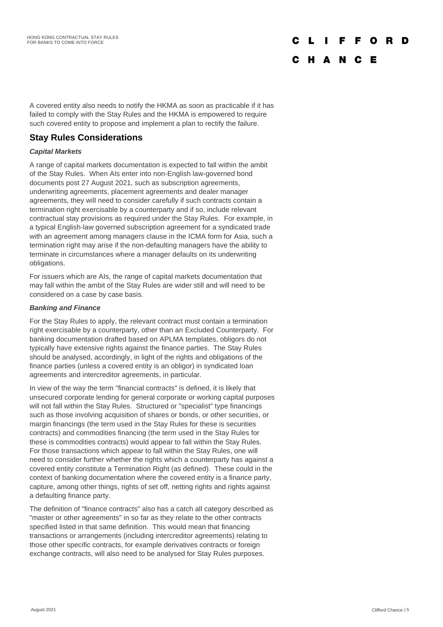# F F O R

## C H A N C E

A covered entity also needs to notify the HKMA as soon as practicable if it has failed to comply with the Stay Rules and the HKMA is empowered to require such covered entity to propose and implement a plan to rectify the failure.

## **Stay Rules Considerations**

## *Capital Markets*

A range of capital markets documentation is expected to fall within the ambit of the Stay Rules. When AIs enter into non-English law-governed bond documents post 27 August 2021, such as subscription agreements, underwriting agreements, placement agreements and dealer manager agreements, they will need to consider carefully if such contracts contain a termination right exercisable by a counterparty and if so, include relevant contractual stay provisions as required under the Stay Rules. For example, in a typical English-law governed subscription agreement for a syndicated trade with an agreement among managers clause in the ICMA form for Asia, such a termination right may arise if the non-defaulting managers have the ability to terminate in circumstances where a manager defaults on its underwriting obligations.

For issuers which are AIs, the range of capital markets documentation that may fall within the ambit of the Stay Rules are wider still and will need to be considered on a case by case basis.

#### *Banking and Finance*

For the Stay Rules to apply, the relevant contract must contain a termination right exercisable by a counterparty, other than an Excluded Counterparty. For banking documentation drafted based on APLMA templates, obligors do not typically have extensive rights against the finance parties. The Stay Rules should be analysed, accordingly, in light of the rights and obligations of the finance parties (unless a covered entity is an obligor) in syndicated loan agreements and intercreditor agreements, in particular.

In view of the way the term "financial contracts" is defined, it is likely that unsecured corporate lending for general corporate or working capital purposes will not fall within the Stay Rules. Structured or "specialist" type financings such as those involving acquisition of shares or bonds, or other securities, or margin financings (the term used in the Stay Rules for these is securities contracts) and commodities financing (the term used in the Stay Rules for these is commodities contracts) would appear to fall within the Stay Rules. For those transactions which appear to fall within the Stay Rules, one will need to consider further whether the rights which a counterparty has against a covered entity constitute a Termination Right (as defined). These could in the context of banking documentation where the covered entity is a finance party, capture, among other things, rights of set off, netting rights and rights against a defaulting finance party.

The definition of "finance contracts" also has a catch all category described as "master or other agreements" in so far as they relate to the other contracts specified listed in that same definition. This would mean that financing transactions or arrangements (including intercreditor agreements) relating to those other specific contracts, for example derivatives contracts or foreign exchange contracts, will also need to be analysed for Stay Rules purposes.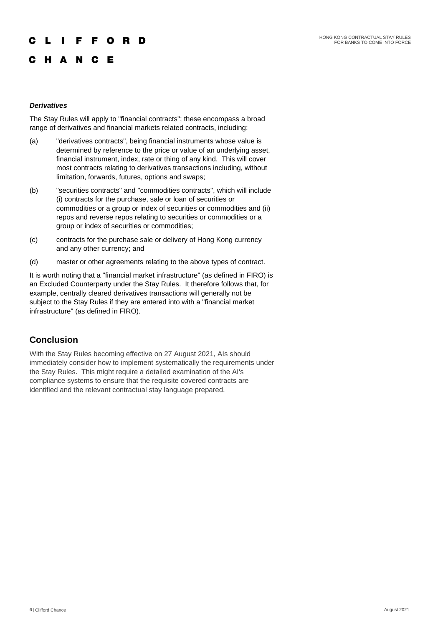## **IFFORD**

## C H A N C E

### *Derivatives*

The Stay Rules will apply to "financial contracts"; these encompass a broad range of derivatives and financial markets related contracts, including:

- (a) "derivatives contracts", being financial instruments whose value is determined by reference to the price or value of an underlying asset, financial instrument, index, rate or thing of any kind. This will cover most contracts relating to derivatives transactions including, without limitation, forwards, futures, options and swaps;
- (b) "securities contracts" and "commodities contracts", which will include (i) contracts for the purchase, sale or loan of securities or commodities or a group or index of securities or commodities and (ii) repos and reverse repos relating to securities or commodities or a group or index of securities or commodities;
- (c) contracts for the purchase sale or delivery of Hong Kong currency and any other currency; and
- (d) master or other agreements relating to the above types of contract.

It is worth noting that a "financial market infrastructure" (as defined in FIRO) is an Excluded Counterparty under the Stay Rules. It therefore follows that, for example, centrally cleared derivatives transactions will generally not be subject to the Stay Rules if they are entered into with a "financial market infrastructure" (as defined in FIRO).

## **Conclusion**

With the Stay Rules becoming effective on 27 August 2021, AIs should immediately consider how to implement systematically the requirements under the Stay Rules. This might require a detailed examination of the AI's compliance systems to ensure that the requisite covered contracts are identified and the relevant contractual stay language prepared.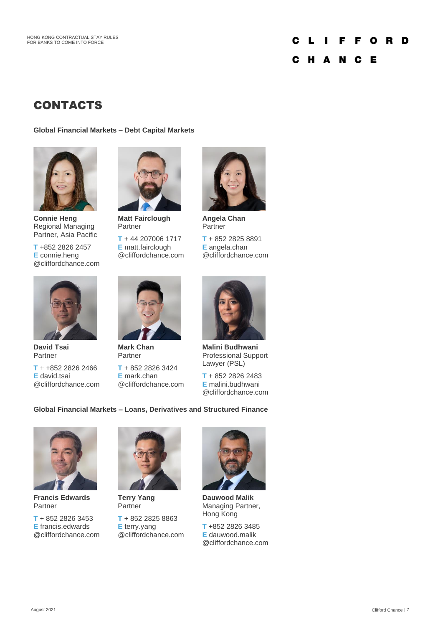#### **FFORD** C п L C H A N C E

# **CONTACTS**

**Global Financial Markets – Debt Capital Markets**



**Connie Heng** Regional Managing Partner, Asia Pacific

**T** +852 2826 2457 **E** connie.heng @cliffordchance.com



**Matt Fairclough** Partner

**T** + 44 207006 1717 **E** matt.fairclough @cliffordchance.com



**Angela Chan** Partner

**T** + 852 2825 8891 **E** angela.chan @cliffordchance.com



**David Tsai** Partner

**T** + +852 2826 2466 **E** david.tsai @cliffordchance.com



**Mark Chan** Partner

**T** + 852 2826 3424 **E** mark.chan @cliffordchance.com



**Malini Budhwani** Professional Support Lawyer (PSL)

**T** + 852 2826 2483 **E** malini.budhwani @cliffordchance.com

## **Global Financial Markets – Loans, Derivatives and Structured Finance**



**Francis Edwards** Partner

**T** + 852 2826 3453 **E** francis.edwards @cliffordchance.com



**Terry Yang** Partner **T** + 852 2825 8863

**E** terry.yang @cliffordchance.com



**Dauwood Malik** Managing Partner, Hong Kong

**T** +852 2826 3485 **E** dauwood.malik @cliffordchance.com